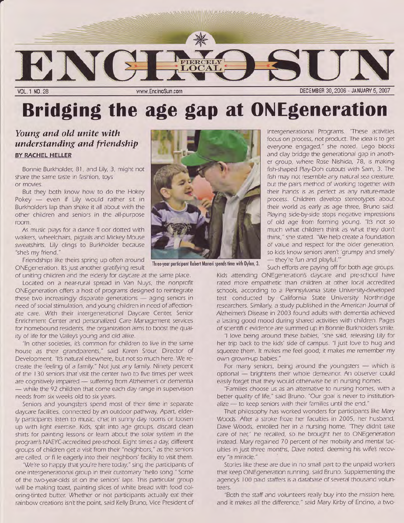

## Bridging the age gap at ONE generation

## Young and old unite with understanding and friendship BY RACHEL HELLER

Bonnie Burkholder, 81, and Lily, 3, might not share the same taste in fashion, toys or movies.

But they both know how to do the Hokey Pokey  $-$  even if Lily would rather sit in Burkholder's lap than shake it all about with the other children and seniors in the all-purpose room.

As music plays for a dance fl oor dotted with walkers, wheelchairs, pigtails and Mickey Mouse sweatshirts, Lily clings to Burkholder because "she's my friend."

Friendships like theirs spring up often around ONEgeneration. It's just another gratifying result of uniting children and the elderly for daycare at the same place.

Located on a near-rural spread in Van Nuys. the nonprofit ONEgeneration offers a host of programs designed to reintegrate these two increasingly disparate generations  $-$  aging seniors in need of social stimulation, andyoung children in need of affectionate care. With their intergenerational Daycare Center, Senior Enrichment Center and personalized Care Management services for homebound residents. the organization aims to boost the quality of life for the Valley's young and old alike.

"In other societies, it's common for children to live in the same house as their grandparents," said Karen Srour, Director of Development. "It's natural elsewhere, but not so much here. We recreate the feeling of a family." Not just any family. Ninety percent of the 130 seniors that visit the center wvo to five times per week are cognitively impaired - suffering from Alzheimer's or dementia - while the 92 children that come each day range in supervision needs from six weeks old to six years.

Seniors and youngsters spend most of their time in separate daycare facilities, connected by an outdoor pathway. Apart, elder-Iy participants listen to music, chat in sunny day rooms or loosen up with light exercise. Kids, split into age groups, discard clean shirts for painting lessons or learn about the solar system in the program's NAEYC-accredited pre-school. Eight times a day, different groups of children get a visit from their "neighbors," as the seniors are called, or fi Ie eagerly into their neighbors' facility to visit them.

"We're so happy that you're here today," sing the participants of one intergenerational group in their customary "hello song." Some of the two-year-olds sit on the seniors' laps. This particular group will be making toast, painting slices of white bread with food coloring-tinted butter. Whether or not participants actually eat their rainbow creations isn't the point. said Kellv Bruno, Vice President of



Three-year participant Robert Maneri spends time with Dylan, 3.

Intergenerational Programs. "These activities focus on process. not product. The idea is to get everyone engaged," she noted. Lego blocks and clay bridge the generational gap in another group, where Rose Nishida, 78, is making fish-shaped Play-Doh cutouts with Sam, 3. The fish may not resemble any natural sea creature, but the pair's method of working together with their hands is as perfect as any nature-made process. Children develop stereotypes about their world as early as age three, Bruno said. Playing side-by-side stops negative impressions of old age from forming young. "It's not so much what children think as what they don't think," she stated. "We help create a foundation of value and respect for the older generation, so kids know seniors aren't 'grumpy and smelly' - they're fun and playful."

Such efforts are paying off for both age groups.

Kids attending ONEgeneration's daycare and pre-school have rated more empathetic than children at other local accredited schools, according to a Pennsylvania State University-developed test conducted by California State University Northridge researchers. Similarly, a study published in the American Journal of Alzheimer's Disease in 2003 found adults with dementia achieved a lasting good mood during shared activities with children. Pages of scientifi c evidence are summed up in Bonnie Burkholder's smile.

"l love being around these babies, "she said, releasing Lily for her trip back to the kids' side of campus. "I just love to hug and squeeze them. It makes me feel good; it makes me remember my own grown-up babies.'

For many seniors, being around the youngsters  $-$  which is optional - brightens their whole demeanor. An observer could easily forget that they would otherwise be in nursing homes.

"Families choose us as an alternative to nursing homes. with a better quality of life," said Bruno. "Our goal is never to institutionalize - to keep seniors with their families until the end."

That philosophy has worked wonders for participants like Mary Woods. After a stroke froze her faculties in 2005, her husband, Dave Woods, enrolled her in a nursing home. 'They didn't take care of her," he recalled, so he brought her to ONEgeneration instead. Mary regained 70 percent of her mobility and mental faculties in just three months, Dave noted, deeming his wife's recovery "a miracle."

Stories like these are due in no small part to the unpaid workers that keep ONEgeneration running, said Bruno. Supplementing the agency's 100 paid staffers is a database of several thousand volunteers.

"Both the stafi and volunteers really buy into the mission here, and it makes all the difference," said Mary Kirby of Encino, a two